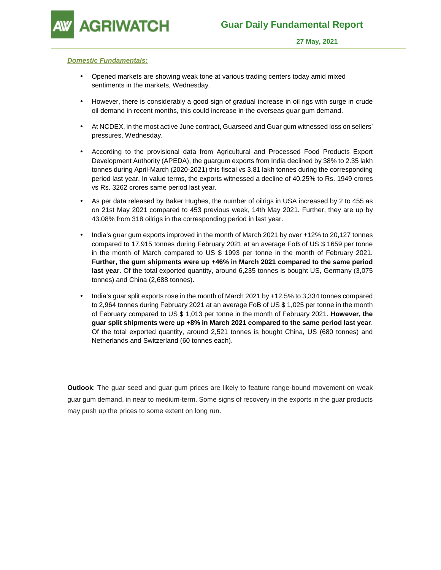**GRIWATCH** 

#### **Domestic Fundamentals:**

- Opened markets are showing weak tone at various trading centers today amid mixed sentiments in the markets, Wednesday.
- However, there is considerably a good sign of gradual increase in oil rigs with surge in crude oil demand in recent months, this could increase in the overseas guar gum demand.
- At NCDEX, in the most active June contract, Guarseed and Guar gum witnessed loss on sellers' pressures, Wednesday.
- According to the provisional data from Agricultural and Processed Food Products Export Development Authority (APEDA), the guargum exports from India declined by 38% to 2.35 lakh tonnes during April-March (2020-2021) this fiscal vs 3.81 lakh tonnes during the corresponding period last year. In value terms, the exports witnessed a decline of 40.25% to Rs. 1949 crores vs Rs. 3262 crores same period last year.
- As per data released by Baker Hughes, the number of oilrigs in USA increased by 2 to 455 as on 21st May 2021 compared to 453 previous week, 14th May 2021. Further, they are up by 43.08% from 318 oilrigs in the corresponding period in last year.
- India's guar gum exports improved in the month of March 2021 by over +12% to 20,127 tonnes compared to 17,915 tonnes during February 2021 at an average FoB of US \$ 1659 per tonne in the month of March compared to US \$ 1993 per tonne in the month of February 2021. **Further, the gum shipments were up +46% in March 2021 compared to the same period last year**. Of the total exported quantity, around 6,235 tonnes is bought US, Germany (3,075 tonnes) and China (2,688 tonnes).
- India's guar split exports rose in the month of March 2021 by +12.5% to 3,334 tonnes compared to 2,964 tonnes during February 2021 at an average FoB of US \$ 1,025 per tonne in the month of February compared to US \$ 1,013 per tonne in the month of February 2021. **However, the guar split shipments were up +8% in March 2021 compared to the same period last year**. Of the total exported quantity, around 2,521 tonnes is bought China, US (680 tonnes) and Netherlands and Switzerland (60 tonnes each).

**Outlook**: The guar seed and guar gum prices are likely to feature range-bound movement on weak guar gum demand, in near to medium-term. Some signs of recovery in the exports in the guar products may push up the prices to some extent on long run.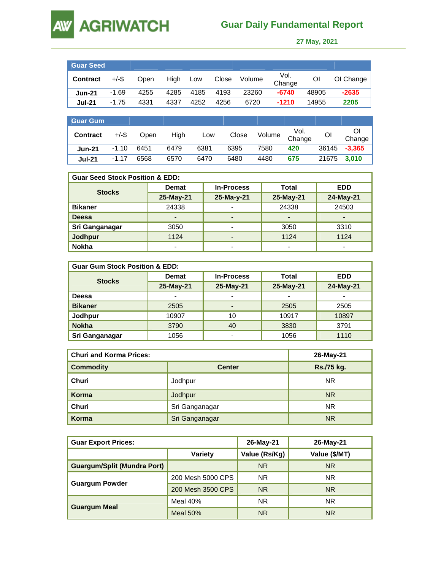# **Guar Daily Fundamental Report**

 **27 May, 2021** 

| <b>Guar Seed</b> |          |      |      |      |       |        |                |       |           |
|------------------|----------|------|------|------|-------|--------|----------------|-------|-----------|
| <b>Contract</b>  | $+/-$ \$ | Open | High | Low  | Close | Volume | Vol.<br>Change | ΟI    | OI Change |
| <b>Jun-21</b>    | $-1.69$  | 4255 | 4285 | 4185 | 4193  | 23260  | $-6740$        | 48905 | $-2635$   |
| <b>Jul-21</b>    | $-1.75$  | 4331 | 4337 | 4252 | 4256  | 6720   | $-1210$        | 14955 | 2205      |

AGRIWATCH

**AW** 

| <b>Guar Gum</b> |          |      |      |      |       |        |                |       |              |
|-----------------|----------|------|------|------|-------|--------|----------------|-------|--------------|
| <b>Contract</b> | $+/-$ \$ | Open | High | Low  | Close | Volume | Vol.<br>Change | ΟI    | ΟI<br>Change |
| <b>Jun-21</b>   | $-1.10$  | 6451 | 6479 | 6381 | 6395  | 7580   | 420            | 36145 | $-3.365$     |
| <b>Jul-21</b>   | $-1.17$  | 6568 | 6570 | 6470 | 6480  | 4480   | 675            | 21675 | 3.010        |

| <b>Guar Seed Stock Position &amp; EDD:</b> |                          |                          |                |            |
|--------------------------------------------|--------------------------|--------------------------|----------------|------------|
| <b>Stocks</b>                              | <b>Demat</b>             | <b>In-Process</b>        | Total          | <b>EDD</b> |
|                                            | 25-May-21                | $25-Ma-y-21$             | 25-May-21      | 24-May-21  |
| <b>Bikaner</b>                             | 24338                    | $\overline{\phantom{a}}$ | 24338          | 24503      |
| <b>Deesa</b>                               | $\overline{\phantom{0}}$ | $\blacksquare$           | $\blacksquare$ |            |
| Sri Ganganagar                             | 3050                     | $\blacksquare$           | 3050           | 3310       |
| Jodhpur                                    | 1124                     | $\blacksquare$           | 1124           | 1124       |
| <b>Nokha</b>                               | $\blacksquare$           | $\blacksquare$           | $\blacksquare$ |            |

| <b>Guar Gum Stock Position &amp; EDD:</b> |                          |                          |                          |            |
|-------------------------------------------|--------------------------|--------------------------|--------------------------|------------|
| <b>Stocks</b>                             | <b>Demat</b>             | <b>In-Process</b>        | Total                    | <b>EDD</b> |
|                                           | 25-May-21                | 25-May-21                | 25-May-21                | 24-May-21  |
| Deesa                                     | $\overline{\phantom{0}}$ | $\blacksquare$           | $\overline{\phantom{0}}$ |            |
| <b>Bikaner</b>                            | 2505                     | $\overline{\phantom{0}}$ | 2505                     | 2505       |
| Jodhpur                                   | 10907                    | 10                       | 10917                    | 10897      |
| <b>Nokha</b>                              | 3790                     | 40                       | 3830                     | 3791       |
| Sri Ganganagar                            | 1056                     | $\,$                     | 1056                     | 1110       |

| <b>Churi and Korma Prices:</b> |                | 26-May-21  |
|--------------------------------|----------------|------------|
| <b>Commodity</b>               | <b>Center</b>  | Rs./75 kg. |
| Churi                          | Jodhpur        | <b>NR</b>  |
| Korma                          | Jodhpur        | <b>NR</b>  |
| Churi                          | Sri Ganganagar | <b>NR</b>  |
| Korma                          | Sri Ganganagar | <b>NR</b>  |

| <b>Guar Export Prices:</b>         |                   | 26-May-21     | 26-May-21     |
|------------------------------------|-------------------|---------------|---------------|
|                                    | Variety           | Value (Rs/Kg) | Value (\$/MT) |
| <b>Guargum/Split (Mundra Port)</b> |                   | <b>NR</b>     | <b>NR</b>     |
|                                    | 200 Mesh 5000 CPS | NR.           | <b>NR</b>     |
| <b>Guargum Powder</b>              | 200 Mesh 3500 CPS | <b>NR</b>     | <b>NR</b>     |
|                                    | Meal $40\%$       | <b>NR</b>     | ΝR            |
| <b>Guargum Meal</b>                | Meal $50\%$       | <b>NR</b>     | <b>NR</b>     |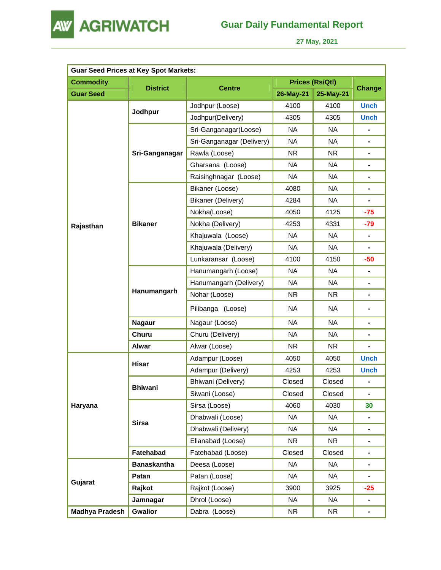

 **27 May, 2021** 

|                       | <b>Guar Seed Prices at Key Spot Markets:</b> |                           |           |                 |                |
|-----------------------|----------------------------------------------|---------------------------|-----------|-----------------|----------------|
| <b>Commodity</b>      |                                              |                           |           | Prices (Rs/Qtl) |                |
| <b>Guar Seed</b>      | <b>District</b>                              | <b>Centre</b>             | 26-May-21 | 25-May-21       | <b>Change</b>  |
|                       |                                              | Jodhpur (Loose)           | 4100      | 4100            | <b>Unch</b>    |
|                       | Jodhpur                                      | Jodhpur(Delivery)         | 4305      | 4305            | <b>Unch</b>    |
|                       |                                              | Sri-Ganganagar(Loose)     | <b>NA</b> | <b>NA</b>       |                |
|                       |                                              | Sri-Ganganagar (Delivery) | NA        | <b>NA</b>       |                |
|                       | Sri-Ganganagar                               | Rawla (Loose)             | <b>NR</b> | NR              |                |
|                       |                                              | Gharsana (Loose)          | NA.       | <b>NA</b>       | ۰.             |
|                       |                                              | Raisinghnagar (Loose)     | <b>NA</b> | NA              |                |
|                       |                                              | Bikaner (Loose)           | 4080      | <b>NA</b>       |                |
|                       |                                              | Bikaner (Delivery)        | 4284      | <b>NA</b>       |                |
|                       |                                              | Nokha(Loose)              | 4050      | 4125            | $-75$          |
| Rajasthan             | <b>Bikaner</b>                               | Nokha (Delivery)          | 4253      | 4331            | -79            |
|                       |                                              | Khajuwala (Loose)         | <b>NA</b> | <b>NA</b>       |                |
|                       |                                              | Khajuwala (Delivery)      | <b>NA</b> | <b>NA</b>       |                |
|                       |                                              | Lunkaransar (Loose)       | 4100      | 4150            | $-50$          |
|                       |                                              | Hanumangarh (Loose)       | <b>NA</b> | <b>NA</b>       |                |
|                       |                                              | Hanumangarh (Delivery)    | NA.       | <b>NA</b>       |                |
|                       | Hanumangarh                                  | Nohar (Loose)             | NR.       | <b>NR</b>       | ٠              |
|                       |                                              | Pilibanga (Loose)         | NA.       | NA              |                |
|                       | <b>Nagaur</b>                                | Nagaur (Loose)            | <b>NA</b> | <b>NA</b>       |                |
|                       | Churu                                        | Churu (Delivery)          | <b>NA</b> | <b>NA</b>       |                |
|                       | Alwar                                        | Alwar (Loose)             | NR.       | <b>NR</b>       | $\blacksquare$ |
|                       | Hisar                                        | Adampur (Loose)           | 4050      | 4050            | <b>Unch</b>    |
|                       |                                              | Adampur (Delivery)        | 4253      | 4253            | <b>Unch</b>    |
|                       | <b>Bhiwani</b>                               | Bhiwani (Delivery)        | Closed    | Closed          |                |
|                       |                                              | Siwani (Loose)            | Closed    | Closed          | $\blacksquare$ |
| Haryana               |                                              | Sirsa (Loose)             | 4060      | 4030            | 30             |
|                       | Sirsa                                        | Dhabwali (Loose)          | <b>NA</b> | <b>NA</b>       |                |
|                       |                                              | Dhabwali (Delivery)       | NA        | <b>NA</b>       |                |
|                       |                                              | Ellanabad (Loose)         | NR        | NR.             | ٠              |
|                       | Fatehabad                                    | Fatehabad (Loose)         | Closed    | Closed          |                |
|                       | <b>Banaskantha</b>                           | Deesa (Loose)             | <b>NA</b> | <b>NA</b>       |                |
| Gujarat               | Patan                                        | Patan (Loose)             | <b>NA</b> | <b>NA</b>       | ٠              |
|                       | Rajkot                                       | Rajkot (Loose)            | 3900      | 3925            | $-25$          |
|                       | Jamnagar                                     | Dhrol (Loose)             | <b>NA</b> | <b>NA</b>       |                |
| <b>Madhya Pradesh</b> | <b>Gwalior</b>                               | Dabra (Loose)             | NR.       | NR.             |                |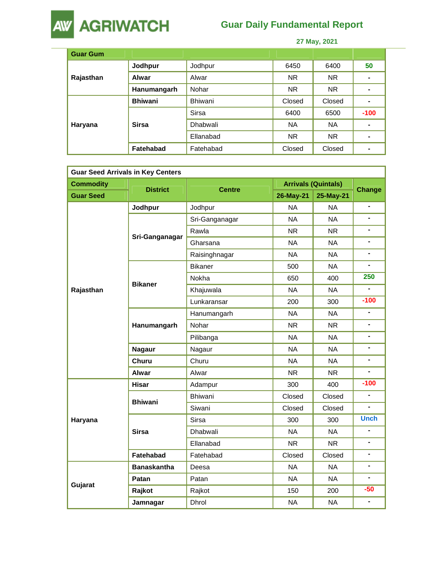

## **Guar Daily Fundamental Report**

 **27 May, 2021** 

| <b>Guar Gum</b> |                  |              |           |           |                |
|-----------------|------------------|--------------|-----------|-----------|----------------|
|                 | Jodhpur          | Jodhpur      | 6450      | 6400      | 50             |
| Rajasthan       | Alwar            | Alwar        | <b>NR</b> | NR.       | $\blacksquare$ |
|                 | Hanumangarh      | Nohar        | <b>NR</b> | NR.       | ۰              |
|                 | <b>Bhiwani</b>   | Bhiwani      | Closed    | Closed    | ۰              |
|                 |                  | <b>Sirsa</b> | 6400      | 6500      | $-100$         |
| Haryana         | <b>Sirsa</b>     | Dhabwali     | <b>NA</b> | <b>NA</b> | $\blacksquare$ |
|                 |                  | Ellanabad    | <b>NR</b> | NR.       | ۰              |
|                 | <b>Fatehabad</b> | Fatehabad    | Closed    | Closed    | ۰              |

| <b>Guar Seed Arrivals in Key Centers</b> |                    |                 |           |                            |                |
|------------------------------------------|--------------------|-----------------|-----------|----------------------------|----------------|
| <b>Commodity</b>                         |                    |                 |           | <b>Arrivals (Quintals)</b> |                |
| <b>Guar Seed</b>                         | <b>District</b>    | <b>Centre</b>   | 26-May-21 | 25-May-21                  | <b>Change</b>  |
|                                          | Jodhpur            | Jodhpur         | <b>NA</b> | <b>NA</b>                  |                |
|                                          |                    | Sri-Ganganagar  | <b>NA</b> | <b>NA</b>                  | L.             |
|                                          |                    | Rawla           | <b>NR</b> | NR.                        | Ξ.             |
|                                          | Sri-Ganganagar     | Gharsana        | <b>NA</b> | <b>NA</b>                  | $\blacksquare$ |
|                                          |                    | Raisinghnagar   | <b>NA</b> | <b>NA</b>                  | $\blacksquare$ |
|                                          |                    | <b>Bikaner</b>  | 500       | <b>NA</b>                  |                |
|                                          | <b>Bikaner</b>     | Nokha           | 650       | 400                        | 250            |
| Rajasthan                                |                    | Khajuwala       | <b>NA</b> | <b>NA</b>                  |                |
|                                          |                    | Lunkaransar     | 200       | 300                        | $-100$         |
|                                          |                    | Hanumangarh     | <b>NA</b> | <b>NA</b>                  | ٠              |
|                                          | Hanumangarh        | Nohar           | <b>NR</b> | <b>NR</b>                  |                |
|                                          |                    | Pilibanga       | <b>NA</b> | <b>NA</b>                  | ä,             |
|                                          | <b>Nagaur</b>      | Nagaur          | <b>NA</b> | <b>NA</b>                  |                |
|                                          | Churu              | Churu           | <b>NA</b> | <b>NA</b>                  | $\blacksquare$ |
|                                          | Alwar              | Alwar           | <b>NR</b> | NR.                        |                |
|                                          | <b>Hisar</b>       | Adampur         | 300       | 400                        | $-100$         |
|                                          | <b>Bhiwani</b>     | Bhiwani         | Closed    | Closed                     | ٠              |
|                                          |                    | Siwani          | Closed    | Closed                     |                |
| Haryana                                  |                    | <b>Sirsa</b>    | 300       | 300                        | <b>Unch</b>    |
|                                          | <b>Sirsa</b>       | <b>Dhabwali</b> | <b>NA</b> | <b>NA</b>                  |                |
|                                          |                    | Ellanabad       | <b>NR</b> | NR.                        | $\blacksquare$ |
|                                          | <b>Fatehabad</b>   | Fatehabad       | Closed    | Closed                     | ٠              |
|                                          | <b>Banaskantha</b> | Deesa           | <b>NA</b> | <b>NA</b>                  | ٠              |
|                                          | Patan              | Patan           | <b>NA</b> | <b>NA</b>                  | ÷.             |
| Gujarat                                  | Rajkot             | Rajkot          | 150       | 200                        | $-50$          |
|                                          | Jamnagar           | <b>Dhrol</b>    | <b>NA</b> | <b>NA</b>                  | $\blacksquare$ |